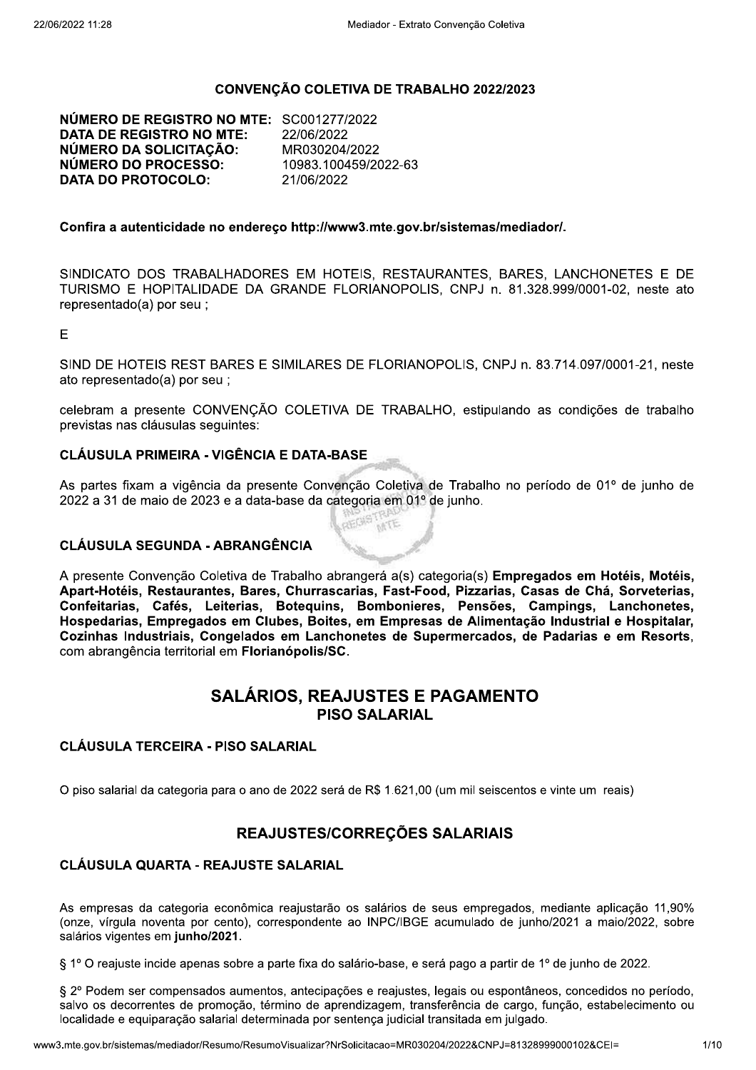#### **CONVENCÃO COLETIVA DE TRABALHO 2022/2023**

NÚMERO DE REGISTRO NO MTE: SC001277/2022 **DATA DE REGISTRO NO MTE:** 22/06/2022 NÚMERO DA SOLICITAÇÃO: MR030204/2022 NÚMERO DO PROCESSO: 10983.100459/2022-63 **DATA DO PROTOCOLO:** 21/06/2022

#### Confira a autenticidade no endereço http://www3.mte.gov.br/sistemas/mediador/.

SINDICATO DOS TRABALHADORES EM HOTEIS, RESTAURANTES, BARES, LANCHONETES E DE TURISMO E HOPITALIDADE DA GRANDE FLORIANOPOLIS, CNPJ n. 81.328.999/0001-02, neste ato representado(a) por seu ;

E

SIND DE HOTEIS REST BARES E SIMILARES DE FLORIANOPOLIS, CNPJ n. 83.714.097/0001-21, neste ato representado(a) por seu;

celebram a presente CONVENÇÃO COLETIVA DE TRABALHO, estipulando as condições de trabalho previstas nas cláusulas seguintes:

#### **CLÁUSULA PRIMEIRA - VIGÊNCIA E DATA-BASE**

As partes fixam a vigência da presente Convenção Coletiva de Trabalho no período de 01º de junho de 2022 a 31 de maio de 2023 e a data-base da categoria em 01º de junho.

**SOUGHT** 

#### **CLÁUSULA SEGUNDA - ABRANGÊNCIA**

A presente Convenção Coletiva de Trabalho abrangerá a(s) categoria(s) Empregados em Hotéis, Motéis, Apart-Hotéis, Restaurantes, Bares, Churrascarias, Fast-Food, Pizzarias, Casas de Chá, Sorveterias, Confeitarias, Cafés, Leiterias, Botequins, Bombonieres, Pensões, Campings, Lanchonetes. Hospedarias, Empregados em Clubes, Boites, em Empresas de Alimentação Industrial e Hospitalar. Cozinhas Industriais, Congelados em Lanchonetes de Supermercados, de Padarias e em Resorts. com abrangência territorial em Florianópolis/SC.

## **SALÁRIOS, REAJUSTES E PAGAMENTO PISO SALARIAL**

#### **CLÁUSULA TERCEIRA - PISO SALARIAL**

O piso salarial da categoria para o ano de 2022 será de R\$ 1.621,00 (um mil seiscentos e vinte um reais)

## REAJUSTES/CORREÇÕES SALARIAIS

#### **CLÁUSULA QUARTA - REAJUSTE SALARIAL**

As empresas da categoria econômica reajustarão os salários de seus empregados, mediante aplicação 11,90% (onze, vírgula noventa por cento), correspondente ao INPC/IBGE acumulado de junho/2021 a maio/2022, sobre salários vigentes em junho/2021.

§ 1º O reajuste incide apenas sobre a parte fixa do salário-base, e será pago a partir de 1º de junho de 2022.

§ 2º Podem ser compensados aumentos, antecipações e reajustes, legais ou espontâneos, concedidos no período, salvo os decorrentes de promoção, término de aprendizagem, transferência de cargo, função, estabelecimento ou localidade e equiparação salarial determinada por sentença judicial transitada em julgado.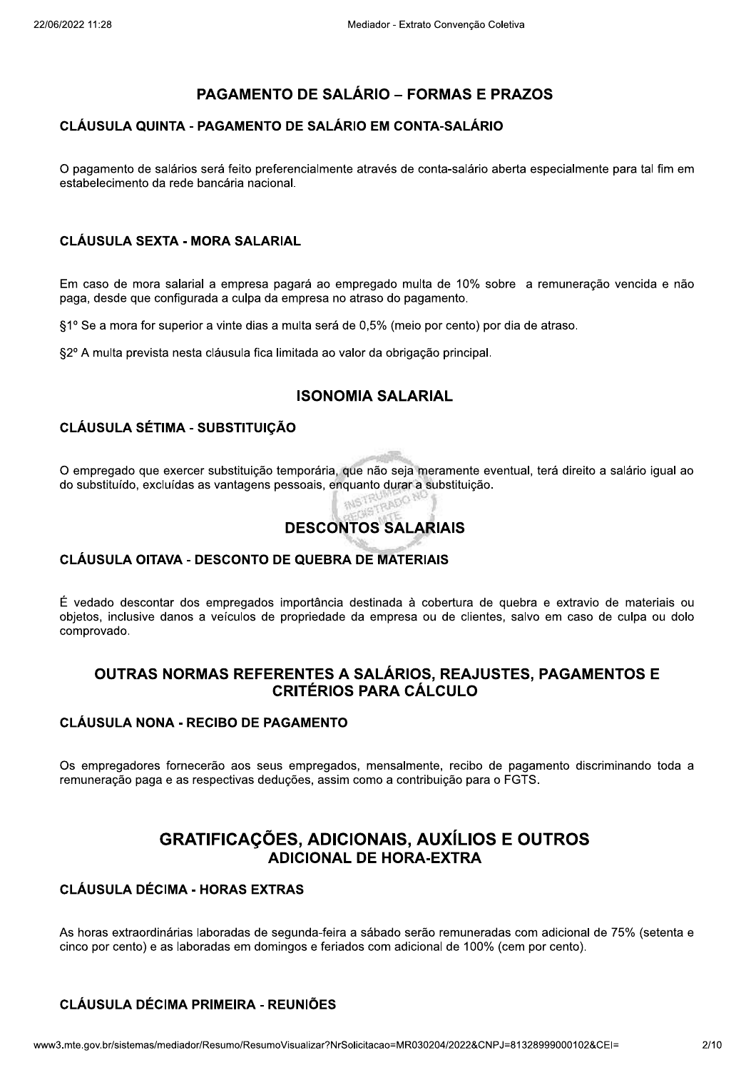## **PAGAMENTO DE SALÁRIO – FORMAS E PRAZOS**

## CLÁUSULA QUINTA - PAGAMENTO DE SALÁRIO EM CONTA-SALÁRIO

O pagamento de salários será feito preferencialmente através de conta-salário aberta especialmente para tal fim em estabelecimento da rede bancária nacional.

### **CLÁUSULA SEXTA - MORA SALARIAL**

Em caso de mora salarial a empresa pagará ao empregado multa de 10% sobre a remuneração vencida e não paga, desde que configurada a culpa da empresa no atraso do pagamento.

§1º Se a mora for superior a vinte dias a multa será de 0,5% (meio por cento) por dia de atraso.

§2º A multa prevista nesta cláusula fica limitada ao valor da obrigação principal.

## **ISONOMIA SALARIAL**

## **CLÁUSULA SÉTIMA - SUBSTITUICÃO**

O empregado que exercer substituição temporária, que não seja meramente eventual, terá direito a salário igual ao do substituído, excluídas as vantagens pessoais, enquanto durar a substituição.

# **DESCONTOS SALARIAIS**

#### CLÁUSULA OITAVA - DESCONTO DE QUEBRA DE MATERIAIS

É vedado descontar dos empregados importância destinada à cobertura de quebra e extravio de materiais ou objetos, inclusive danos a veículos de propriedade da empresa ou de clientes, salvo em caso de culpa ou dolo comprovado.

## OUTRAS NORMAS REFERENTES A SALÁRIOS, REAJUSTES, PAGAMENTOS E **CRITÉRIOS PARA CÁLCULO**

#### **CLÁUSULA NONA - RECIBO DE PAGAMENTO**

Os empregadores fornecerão aos seus empregados, mensalmente, recibo de pagamento discriminando toda a remuneração paga e as respectivas deduções, assim como a contribuição para o FGTS.

## **GRATIFICAÇÕES, ADICIONAIS, AUXÍLIOS E OUTROS** ADICIONAL DE HORA-FXTRA

## **CLÁUSULA DÉCIMA - HORAS EXTRAS**

As horas extraordinárias laboradas de segunda-feira a sábado serão remuneradas com adicional de 75% (setenta e cinco por cento) e as laboradas em domingos e feriados com adicional de 100% (cem por cento).

## **CLÁUSULA DÉCIMA PRIMEIRA - REUNIÕES**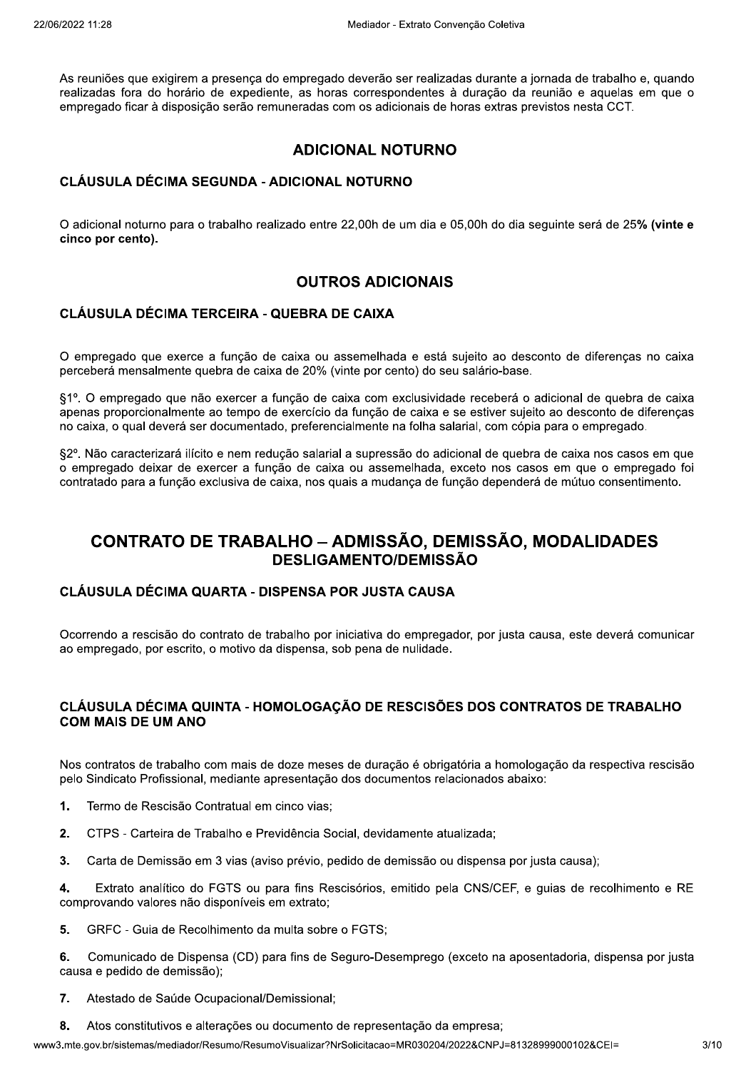As reuniões que exigirem a presenca do empregado deverão ser realizadas durante a jornada de trabalho e, quando realizadas fora do horário de expediente, as horas correspondentes à duração da reunião e aquelas em que o empregado ficar à disposição serão remuneradas com os adicionais de horas extras previstos nesta CCT.

## **ADICIONAL NOTURNO**

### CLÁUSULA DÉCIMA SEGUNDA - ADICIONAL NOTURNO

O adicional noturno para o trabalho realizado entre 22,00h de um dia e 05,00h do dia seguinte será de 25% (vinte e cinco por cento).

## **OUTROS ADICIONAIS**

#### CLÁUSULA DÉCIMA TERCEIRA - QUEBRA DE CAIXA

O empregado que exerce a função de caixa ou assemelhada e está sujeito ao desconto de diferencas no caixa perceberá mensalmente quebra de caixa de 20% (vinte por cento) do seu salário-base.

§1º. O empregado que não exercer a função de caixa com exclusividade receberá o adicional de quebra de caixa apenas proporcionalmente ao tempo de exercício da função de caixa e se estiver sujeito ao desconto de diferenças no caixa, o qual deverá ser documentado, preferencialmente na folha salarial, com cópia para o empregado.

§2º. Não caracterizará ilícito e nem redução salarial a supressão do adicional de quebra de caixa nos casos em que o empregado deixar de exercer a função de caixa ou assemelhada, exceto nos casos em que o empregado foi contratado para a função exclusiva de caixa, nos quais a mudança de função dependerá de mútuo consentimento.

## **CONTRATO DE TRABALHO – ADMISSÃO, DEMISSÃO, MODALIDADES DESLIGAMENTO/DEMISSÃO**

### **CLÁUSULA DÉCIMA QUARTA - DISPENSA POR JUSTA CAUSA**

Ocorrendo a rescisão do contrato de trabalho por iniciativa do empregador, por justa causa, este deverá comunicar ao empregado, por escrito, o motivo da dispensa, sob pena de nulidade.

### CLÁUSULA DÉCIMA QUINTA - HOMOLOGAÇÃO DE RESCISÕES DOS CONTRATOS DE TRABALHO COM MAIS DE UM ANO

Nos contratos de trabalho com mais de doze meses de duração é obrigatória a homologação da respectiva rescisão pelo Sindicato Profissional, mediante apresentação dos documentos relacionados abaixo:

- $\mathbf 1$ . Termo de Rescisão Contratual em cinco vias;
- $2.$ CTPS - Carteira de Trabalho e Previdência Social, devidamente atualizada;
- $3<sub>l</sub>$ Carta de Demissão em 3 vias (aviso prévio, pedido de demissão ou dispensa por justa causa);

Extrato analítico do FGTS ou para fins Rescisórios, emitido pela CNS/CEF, e quias de recolhimento e RE  $\blacktriangle$ comprovando valores não disponíveis em extrato:

 $5.$ GRFC - Guia de Recolhimento da multa sobre o FGTS;

Comunicado de Dispensa (CD) para fins de Seguro-Desemprego (exceto na aposentadoria, dispensa por justa 6. causa e pedido de demissão);

- $\overline{7}$ . Atestado de Saúde Ocupacional/Demissional;
- Atos constitutivos e alterações ou documento de representação da empresa; 8.

www3.mte.gov.br/sistemas/mediador/Resumo/ResumoVisualizar?NrSolicitacao=MR030204/2022&CNPJ=81328999000102&CEI=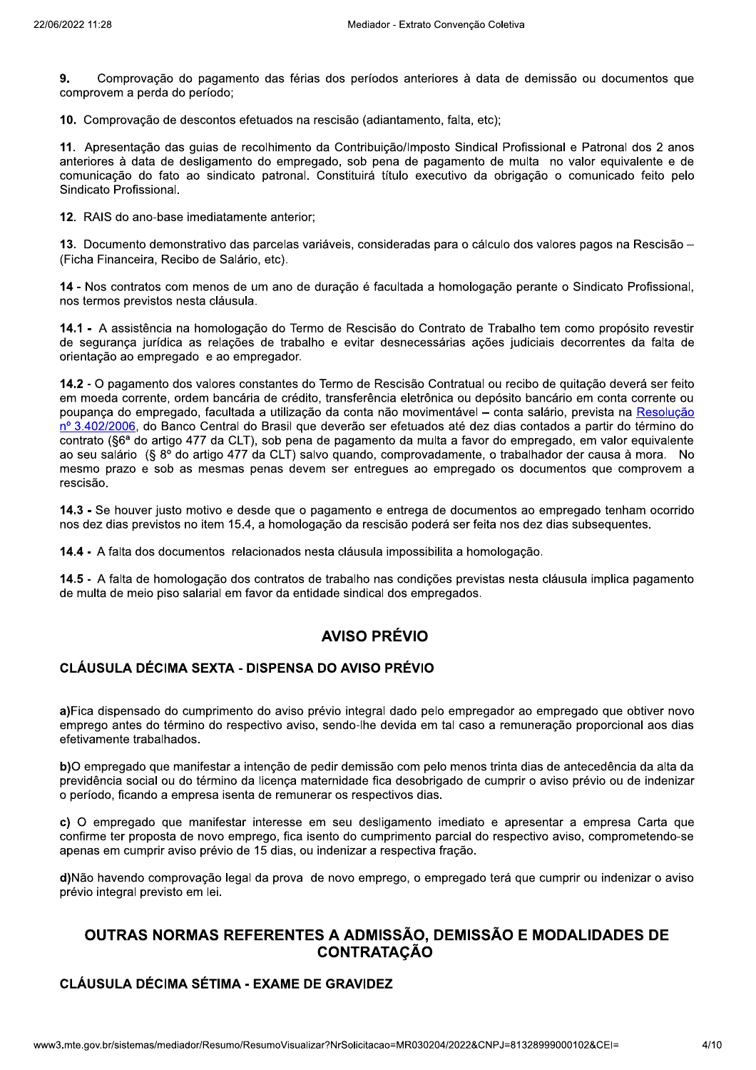9. Comprovação do pagamento das férias dos períodos anteriores à data de demissão ou documentos que comprovem a perda do período:

10. Comprovação de descontos efetuados na rescisão (adiantamento, falta, etc);

11. Apresentação das quias de recolhimento da Contribuição/Imposto Sindical Profissional e Patronal dos 2 anos anteriores à data de desligamento do empregado, sob pena de pagamento de multa no valor equivalente e de comunicação do fato ao sindicato patronal. Constituirá título executivo da obrigação o comunicado feito pelo Sindicato Profissional.

12. RAIS do ano-base imediatamente anterior;

13. Documento demonstrativo das parcelas variáveis, consideradas para o cálculo dos valores pagos na Rescisão -(Ficha Financeira, Recibo de Salário, etc).

14 - Nos contratos com menos de um ano de duração é facultada a homologação perante o Sindicato Profissional. nos termos previstos nesta cláusula.

14.1 - A assistência na homologação do Termo de Rescisão do Contrato de Trabalho tem como propósito revestir de segurança jurídica as relações de trabalho e evitar desnecessárias ações judiciais decorrentes da falta de orientação ao empregado e ao empregador.

14.2 - O pagamento dos valores constantes do Termo de Rescisão Contratual ou recibo de quitação deverá ser feito em moeda corrente, ordem bancária de crédito, transferência eletrônica ou depósito bancário em conta corrente ou poupança do empregado, facultada a utilização da conta não movimentável - conta salário, prevista na Resolução nº 3.402/2006, do Banco Central do Brasil que deverão ser efetuados até dez dias contados a partir do término do contrato (§6ª do artigo 477 da CLT), sob pena de pagamento da multa a favor do empregado, em valor equivalente ao seu salário (§ 8º do artigo 477 da CLT) salvo quando, comprovadamente, o trabalhador der causa à mora. No mesmo prazo e sob as mesmas penas devem ser entregues ao empregado os documentos que comprovem a rescisão

14.3 - Se houver justo motivo e desde que o pagamento e entrega de documentos ao empregado tenham ocorrido nos dez dias previstos no item 15.4, a homologação da rescisão poderá ser feita nos dez dias subsequentes.

14.4 - A falta dos documentos relacionados nesta cláusula impossibilita a homologação.

14.5 - A falta de homologação dos contratos de trabalho nas condições previstas nesta cláusula implica pagamento de multa de meio piso salarial em favor da entidade sindical dos empregados.

## **AVISO PRÉVIO**

#### CLÁUSULA DÉCIMA SEXTA - DISPENSA DO AVISO PRÉVIO

a)Fica dispensado do cumprimento do aviso prévio integral dado pelo empregador ao empregado que obtiver novo emprego antes do término do respectivo aviso, sendo-lhe devida em tal caso a remuneração proporcional aos dias efetivamente trabalhados.

b)O empregado que manifestar a intenção de pedir demissão com pelo menos trinta dias de antecedência da alta da previdência social ou do término da licença maternidade fica desobrigado de cumprir o aviso prévio ou de indenizar o período, ficando a empresa isenta de remunerar os respectivos dias.

c) O empregado que manifestar interesse em seu desligamento imediato e apresentar a empresa Carta que confirme ter proposta de novo emprego, fica isento do cumprimento parcial do respectivo aviso, comprometendo-se apenas em cumprir aviso prévio de 15 dias, ou indenizar a respectiva fração.

d)Não havendo comprovação legal da prova de novo emprego, o empregado terá que cumprir ou indenizar o aviso prévio integral previsto em lei.

## OUTRAS NORMAS REFERENTES A ADMISSÃO, DEMISSÃO E MODALIDADES DE **CONTRATACÃO**

## **CLÁUSULA DÉCIMA SÉTIMA - EXAME DE GRAVIDEZ**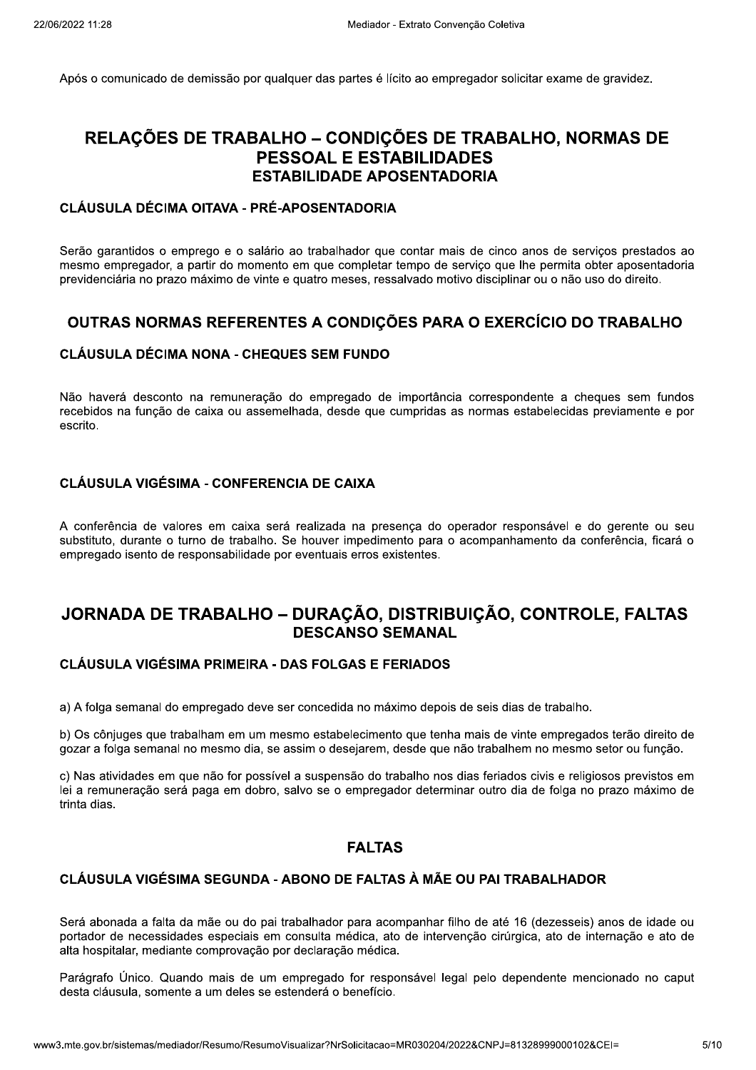Após o comunicado de demissão por qualquer das partes é lícito ao empregador solicitar exame de gravidez.

## RELAÇÕES DE TRABALHO - CONDIÇÕES DE TRABALHO, NORMAS DE **PESSOAL E ESTABILIDADES ESTABILIDADE APOSENTADORIA**

### CLÁUSULA DÉCIMA OITAVA - PRÉ-APOSENTADORIA

Serão garantidos o emprego e o salário ao trabalhador que contar mais de cinco anos de serviços prestados ao mesmo empregador, a partir do momento em que completar tempo de serviço que lhe permita obter aposentadoria previdenciária no prazo máximo de vinte e quatro meses, ressalvado motivo disciplinar ou o não uso do direito,

## OUTRAS NORMAS REFERENTES A CONDIÇÕES PARA O EXERCÍCIO DO TRABALHO

#### **CLÁUSULA DÉCIMA NONA - CHEQUES SEM FUNDO**

Não haverá desconto na remuneração do empregado de importância correspondente a cheques sem fundos recebidos na função de caixa ou assemelhada, desde que cumpridas as normas estabelecidas previamente e por escrito.

## **CLÁUSULA VIGÉSIMA - CONFERENCIA DE CAIXA**

A conferência de valores em caixa será realizada na presença do operador responsável e do gerente ou seu substituto, durante o turno de trabalho. Se houver impedimento para o acompanhamento da conferência, ficará o empregado isento de responsabilidade por eventuais erros existentes.

## JORNADA DE TRABALHO - DURAÇÃO, DISTRIBUIÇÃO, CONTROLE, FALTAS **DESCANSO SEMANAL**

#### **CLÁUSULA VIGÉSIMA PRIMEIRA - DAS FOLGAS E FERIADOS**

a) A folga semanal do empregado deve ser concedida no máximo depois de seis dias de trabalho.

b) Os cônjuges que trabalham em um mesmo estabelecimento que tenha mais de vinte empregados terão direito de gozar a folga semanal no mesmo dia, se assim o desejarem, desde que não trabalhem no mesmo setor ou função.

c) Nas atividades em que não for possível a suspensão do trabalho nos dias feriados civis e religiosos previstos em lei a remuneração será paga em dobro, salvo se o empregador determinar outro dia de folga no prazo máximo de trinta dias.

## **FALTAS**

#### CLÁUSULA VIGÉSIMA SEGUNDA - ABONO DE FALTAS À MÃE OU PAI TRABALHADOR

Será abonada a falta da mãe ou do pai trabalhador para acompanhar filho de até 16 (dezesseis) anos de idade ou portador de necessidades especiais em consulta médica, ato de intervenção cirúrgica, ato de internação e ato de alta hospitalar, mediante comprovação por declaração médica.

Parágrafo Único. Quando mais de um empregado for responsável legal pelo dependente mencionado no caput desta cláusula, somente a um deles se estenderá o benefício.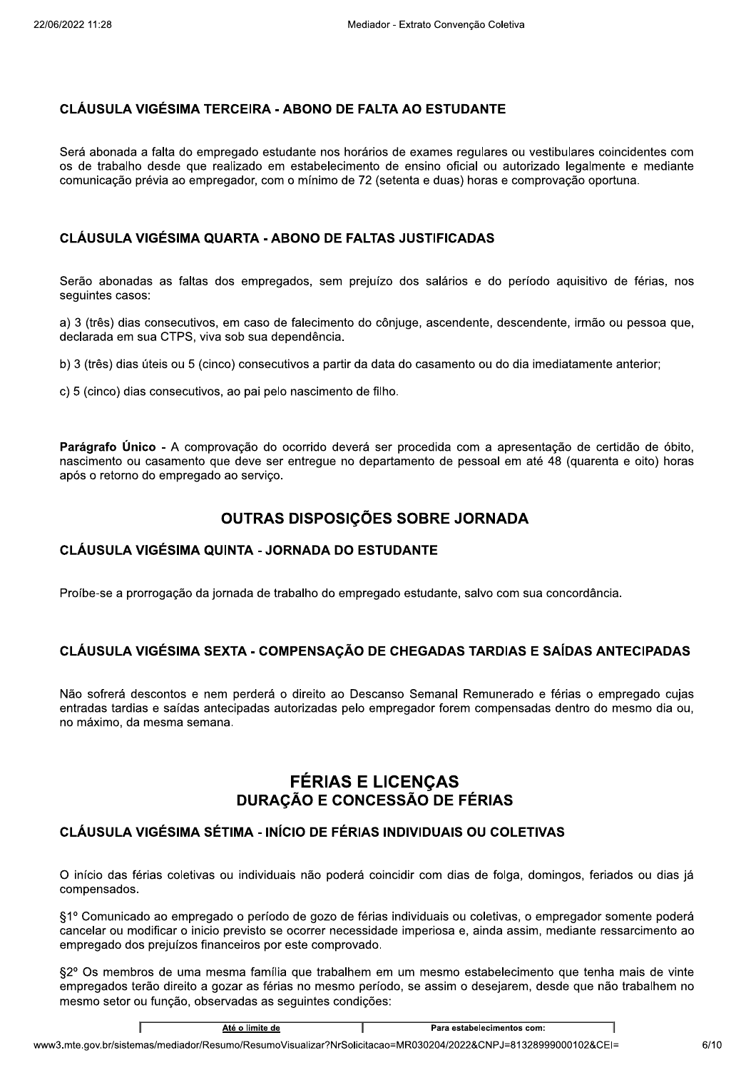### **CLÁUSULA VIGÉSIMA TERCEIRA - ABONO DE FALTA AO ESTUDANTE**

Será abonada a falta do empregado estudante nos horários de exames regulares ou vestibulares coincidentes com os de trabalho desde que realizado em estabelecimento de ensino oficial ou autorizado legalmente e mediante comunicação prévia ao empregador, com o mínimo de 72 (setenta e duas) horas e comprovação oportuna.

#### **CLÁUSULA VIGÉSIMA QUARTA - ABONO DE FALTAS JUSTIFICADAS**

Serão abonadas as faltas dos empregados, sem prejuízo dos salários e do período aquisitivo de férias, nos seguintes casos:

a) 3 (três) dias consecutivos, em caso de falecimento do cônjuge, ascendente, descendente, irmão ou pessoa que, declarada em sua CTPS, viva sob sua dependência.

b) 3 (três) dias úteis ou 5 (cinco) consecutivos a partir da data do casamento ou do dia imediatamente anterior;

c) 5 (cinco) dias consecutivos, ao pai pelo nascimento de filho.

Parágrafo Único - A comprovação do ocorrido deverá ser procedida com a apresentação de certidão de óbito, nascimento ou casamento que deve ser entregue no departamento de pessoal em até 48 (quarenta e oito) horas após o retorno do empregado ao serviço.

## OUTRAS DISPOSIÇÕES SOBRE JORNADA

#### CLÁUSULA VIGÉSIMA QUINTA - JORNADA DO ESTUDANTE

Proíbe-se a prorrogação da jornada de trabalho do empregado estudante, salvo com sua concordância.

## CLÁUSULA VIGÉSIMA SEXTA - COMPENSACÃO DE CHEGADAS TARDIAS E SAÍDAS ANTECIPADAS

Não sofrerá descontos e nem perderá o direito ao Descanso Semanal Remunerado e férias o empregado cujas entradas tardias e saídas antecipadas autorizadas pelo empregador forem compensadas dentro do mesmo dia ou, no máximo, da mesma semana.

## **FÉRIAS E LICENÇAS DURAÇÃO E CONCESSÃO DE FÉRIAS**

## CLÁUSULA VIGÉSIMA SÉTIMA - INÍCIO DE FÉRIAS INDIVIDUAIS OU COLETIVAS

O início das férias coletivas ou individuais não poderá coincidir com dias de folga, domingos, feriados ou dias já compensados.

§1º Comunicado ao empregado o período de gozo de férias individuais ou coletivas, o empregador somente poderá cancelar ou modificar o inicio previsto se ocorrer necessidade imperiosa e, ainda assim, mediante ressarcimento ao empregado dos prejuízos financeiros por este comprovado.

§2º Os membros de uma mesma família que trabalhem em um mesmo estabelecimento que tenha mais de vinte empregados terão direito a gozar as férias no mesmo período, se assim o desejarem, desde que não trabalhem no mesmo setor ou função, observadas as seguintes condições: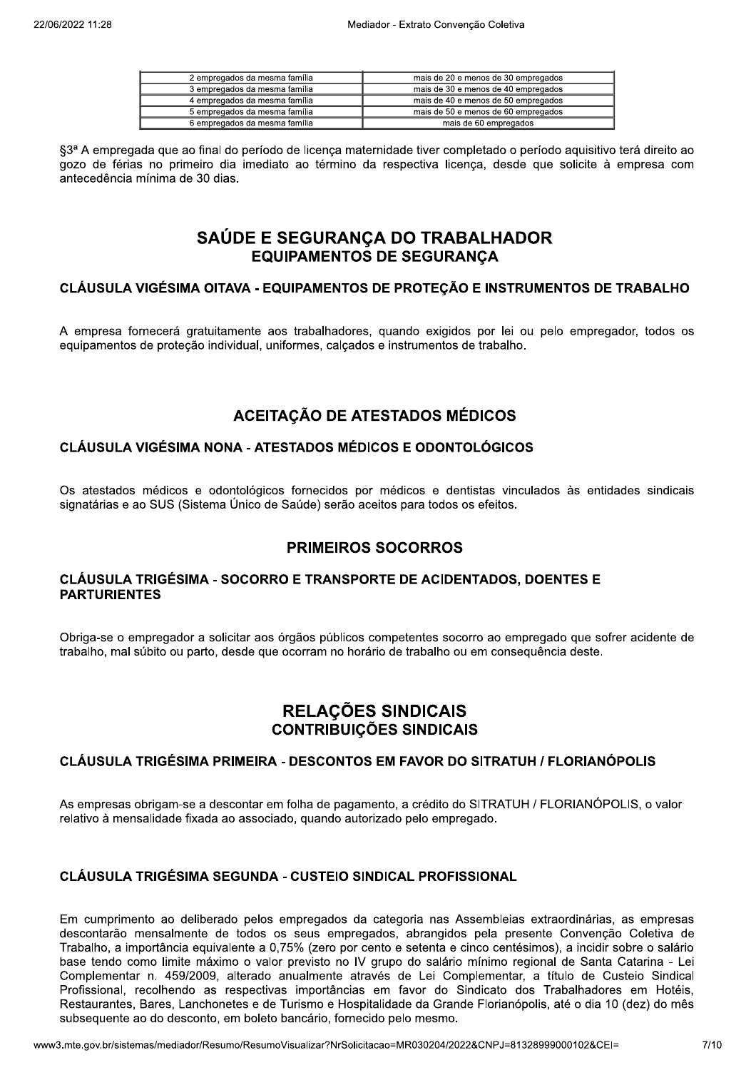| 2 empregados da mesma família | mais de 20 e menos de 30 empregados |
|-------------------------------|-------------------------------------|
| 3 empregados da mesma família | mais de 30 e menos de 40 empregados |
| 4 empregados da mesma família | mais de 40 e menos de 50 empregados |
| 5 empregados da mesma família | mais de 50 e menos de 60 empregados |
| 6 empregados da mesma família | mais de 60 empregados               |

§3ª A empregada que ao final do período de licenca maternidade tiver completado o período aquisitivo terá direito ao gozo de férias no primeiro dia imediato ao término da respectiva licenca, desde que solicite à empresa com antecedência mínima de 30 dias.

## SAÚDE E SEGURANÇA DO TRABALHADOR **EQUIPAMENTOS DE SEGURANÇA**

#### CLÁUSULA VIGÉSIMA OITAVA - EQUIPAMENTOS DE PROTECÃO E INSTRUMENTOS DE TRABALHO

A empresa fornecerá gratuitamente aos trabalhadores, quando exigidos por lei ou pelo empregador, todos os equipamentos de proteção individual, uniformes, calçados e instrumentos de trabalho.

## **ACEITAÇÃO DE ATESTADOS MÉDICOS**

#### **CLÁUSULA VIGÉSIMA NONA - ATESTADOS MÉDICOS E ODONTOLÓGICOS**

Os atestados médicos e odontológicos fornecidos por médicos e dentistas vinculados às entidades sindicais signatárias e ao SUS (Sistema Único de Saúde) serão aceitos para todos os efeitos.

## **PRIMEIROS SOCORROS**

#### CLÁUSULA TRIGÉSIMA - SOCORRO E TRANSPORTE DE ACIDENTADOS. DOENTES E **PARTURIENTES**

Obriga-se o empregador a solicitar aos órgãos públicos competentes socorro ao empregado que sofrer acidente de trabalho, mal súbito ou parto, desde que ocorram no horário de trabalho ou em consequência deste.

## RELAÇÕES SINDICAIS **CONTRIBUIÇÕES SINDICAIS**

#### CLÁUSULA TRIGÉSIMA PRIMEIRA - DESCONTOS EM FAVOR DO SITRATUH / FLORIANÓPOLIS

As empresas obrigam-se a descontar em folha de pagamento, a crédito do SITRATUH / FLORIANÓPOLIS, o valor relativo à mensalidade fixada ao associado, quando autorizado pelo empregado.

### CLÁUSULA TRIGÉSIMA SEGUNDA - CUSTEIO SINDICAL PROFISSIONAL

Em cumprimento ao deliberado pelos empregados da categoria nas Assembleias extraordinárias, as empresas descontarão mensalmente de todos os seus empregados, abrangidos pela presente Convenção Coletiva de Trabalho, a importância equivalente a 0,75% (zero por cento e setenta e cinco centésimos), a incidir sobre o salário base tendo como limite máximo o valor previsto no IV grupo do salário mínimo regional de Santa Catarina - Lei Complementar n. 459/2009, alterado anualmente através de Lei Complementar, a título de Custeio Sindical Profissional, recolhendo as respectivas importâncias em favor do Sindicato dos Trabalhadores em Hotéis, Restaurantes, Bares, Lanchonetes e de Turismo e Hospitalidade da Grande Florianópolis, até o dia 10 (dez) do mês subsequente ao do desconto, em boleto bancário, fornecido pelo mesmo.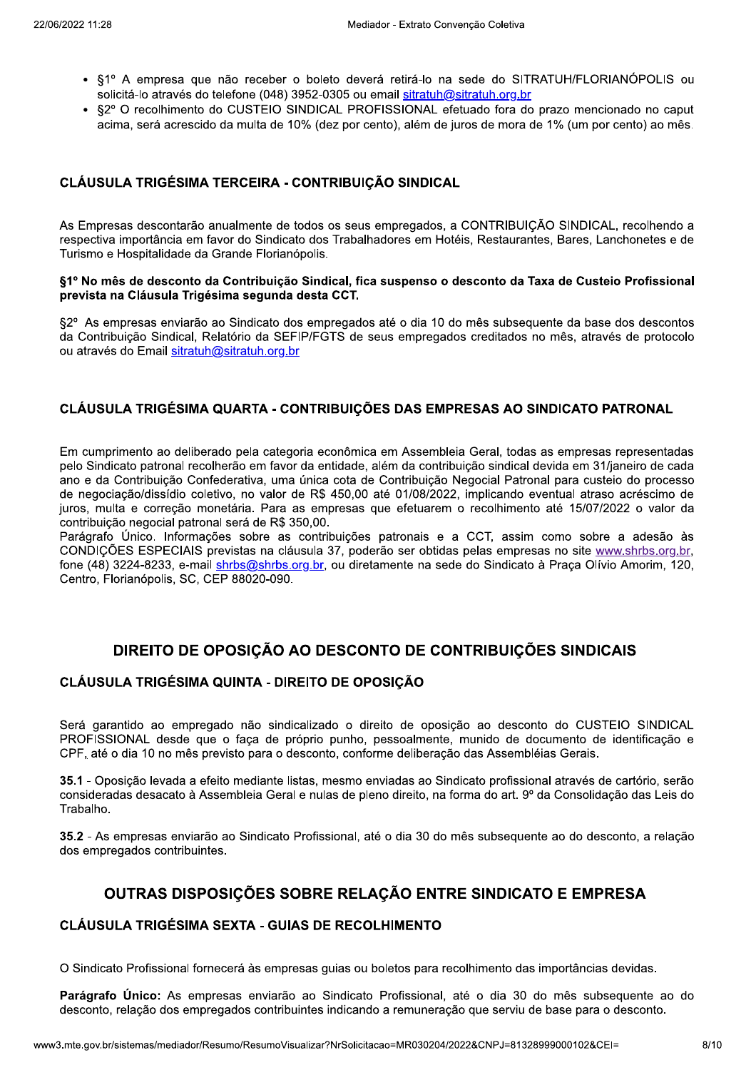- §1º A empresa que não receber o boleto deverá retirá-lo na sede do SITRATUH/FLORIANÓPOLIS ou solicitá-lo através do telefone (048) 3952-0305 ou email sitratuh@sitratuh.org.br
- §2º O recolhimento do CUSTEIO SINDICAL PROFISSIONAL efetuado fora do prazo mencionado no caput acima, será acrescido da multa de 10% (dez por cento), além de juros de mora de 1% (um por cento) ao mês.

### CLÁUSULA TRIGÉSIMA TERCEIRA - CONTRIBUIÇÃO SINDICAL

As Empresas descontarão anualmente de todos os seus empregados, a CONTRIBUICÃO SINDICAL, recolhendo a respectiva importância em favor do Sindicato dos Trabalhadores em Hotéis, Restaurantes, Bares, Lanchonetes e de Turismo e Hospitalidade da Grande Florianópolis.

#### §1º No mês de desconto da Contribuição Sindical, fica suspenso o desconto da Taxa de Custeio Profissional prevista na Cláusula Trigésima segunda desta CCT.

§2º As empresas enviarão ao Sindicato dos empregados até o dia 10 do mês subsequente da base dos descontos da Contribuição Sindical, Relatório da SEFIP/FGTS de seus empregados creditados no mês, através de protocolo ou através do Email sitratuh@sitratuh.org.br

#### CLÁUSULA TRIGÉSIMA QUARTA - CONTRIBUIÇÕES DAS EMPRESAS AO SINDICATO PATRONAL

Em cumprimento ao deliberado pela categoria econômica em Assembleia Geral, todas as empresas representadas pelo Sindicato patronal recolherão em favor da entidade, além da contribuição sindical devida em 31/janeiro de cada ano e da Contribuição Confederativa, uma única cota de Contribuição Negocial Patronal para custeio do processo de negociação/dissídio coletivo, no valor de R\$ 450,00 até 01/08/2022, implicando eventual atraso acréscimo de juros, multa e correção monetária. Para as empresas que efetuarem o recolhimento até 15/07/2022 o valor da contribuição negocial patronal será de R\$ 350,00.

Parágrafo Único. Informações sobre as contribuições patronais e a CCT, assim como sobre a adesão às CONDIÇÕES ESPECIAIS previstas na cláusula 37, poderão ser obtidas pelas empresas no site www.shrbs.org.br. fone (48) 3224-8233, e-mail shrbs@shrbs.org.br, ou diretamente na sede do Sindicato à Praca Olívio Amorim. 120. Centro, Florianópolis, SC, CEP 88020-090.

## DIREITO DE OPOSIÇÃO AO DESCONTO DE CONTRIBUIÇÕES SINDICAIS

#### CLÁUSULA TRIGÉSIMA QUINTA - DIREITO DE OPOSIÇÃO

Será garantido ao empregado não sindicalizado o direito de oposição ao desconto do CUSTEIO SINDICAL PROFISSIONAL desde que o faca de próprio punho, pessoalmente, munido de documento de identificação e CPF, até o dia 10 no mês previsto para o desconto, conforme deliberação das Assembléias Gerais.

35.1 - Oposição levada a efeito mediante listas, mesmo enviadas ao Sindicato profissional através de cartório, serão consideradas desacato à Assembleia Geral e nulas de pleno direito, na forma do art. 9º da Consolidação das Leis do Trabalho.

35.2 - As empresas enviarão ao Sindicato Profissional, até o dia 30 do mês subsequente ao do desconto, a relação dos empregados contribuintes.

## OUTRAS DISPOSIÇÕES SOBRE RELAÇÃO ENTRE SINDICATO E EMPRESA

### **CLÁUSULA TRIGÉSIMA SEXTA - GUIAS DE RECOLHIMENTO**

O Sindicato Profissional fornecerá às empresas guias ou boletos para recolhimento das importâncias devidas.

Parágrafo Único: As empresas enviarão ao Sindicato Profissional, até o dia 30 do mês subseguente ao do desconto, relação dos empregados contribuintes indicando a remuneração que serviu de base para o desconto.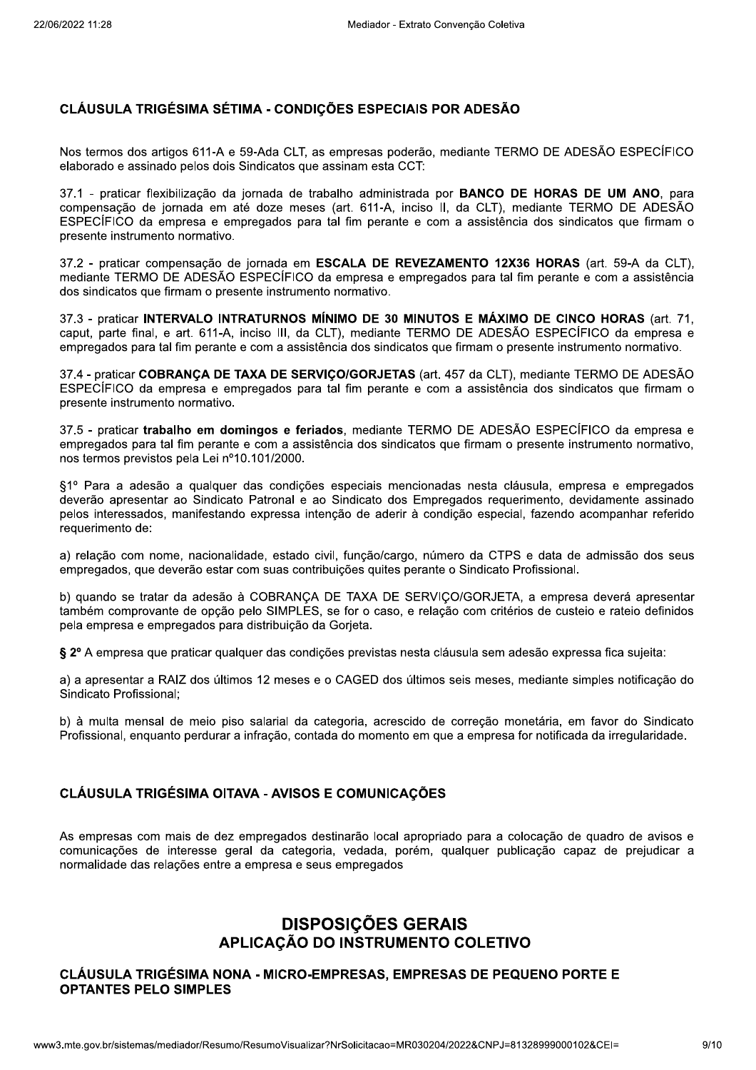### CLÁUSULA TRIGÉSIMA SÉTIMA - CONDICÕES ESPECIAIS POR ADESÃO

Nos termos dos artigos 611-A e 59-Ada CLT, as empresas poderão, mediante TERMO DE ADESÃO ESPECÍFICO elaborado e assinado pelos dois Sindicatos que assinam esta CCT:

37.1 - praticar flexibilização da jornada de trabalho administrada por **BANCO DE HORAS DE UM ANO**, para compensação de jornada em até doze meses (art. 611-A, inciso II, da CLT), mediante TERMO DE ADESÃO ESPECÍFICO da empresa e empregados para tal fim perante e com a assistência dos sindicatos que firmam o presente instrumento normativo.

37.2 - praticar compensação de jornada em ESCALA DE REVEZAMENTO 12X36 HORAS (art. 59-A da CLT), mediante TERMO DE ADESÃO ESPECÍFICO da empresa e empregados para tal fim perante e com a assistência dos sindicatos que firmam o presente instrumento normativo.

37.3 - praticar INTERVALO INTRATURNOS MÍNIMO DE 30 MINUTOS E MÁXIMO DE CINCO HORAS (art. 71, caput, parte final, e art. 611-A, inciso III, da CLT), mediante TERMO DE ADESÃO ESPECÍFICO da empresa e empregados para tal fim perante e com a assistência dos sindicatos que firmam o presente instrumento normativo.

37.4 - praticar COBRANCA DE TAXA DE SERVICO/GORJETAS (art. 457 da CLT), mediante TERMO DE ADESÃO ESPECÍFICO da empresa e empregados para tal fim perante e com a assistência dos sindicatos que firmam o presente instrumento normativo.

37.5 - praticar trabalho em domingos e feriados, mediante TERMO DE ADESÃO ESPECÍFICO da empresa e empregados para tal fim perante e com a assistência dos sindicatos que firmam o presente instrumento normativo, nos termos previstos pela Lei nº10.101/2000.

§1º Para a adesão a qualquer das condições especiais mencionadas nesta cláusula, empresa e empregados deverão apresentar ao Sindicato Patronal e ao Sindicato dos Empregados reguerimento, devidamente assinado pelos interessados, manifestando expressa intenção de aderir à condição especial, fazendo acompanhar referido requerimento de:

a) relação com nome, nacionalidade, estado civil, função/cargo, número da CTPS e data de admissão dos seus empregados, que deverão estar com suas contribuições quites perante o Sindicato Profissional.

b) quando se tratar da adesão à COBRANÇA DE TAXA DE SERVIÇO/GORJETA, a empresa deverá apresentar também comprovante de opção pelo SIMPLES, se for o caso, e relação com critérios de custeio e rateio definidos pela empresa e empregados para distribuição da Gorjeta.

§ 2º A empresa que praticar qualquer das condições previstas nesta cláusula sem adesão expressa fica sujeita:

a) a apresentar a RAIZ dos últimos 12 meses e o CAGED dos últimos seis meses, mediante simples notificação do Sindicato Profissional:

b) à multa mensal de meio piso salarial da categoria, acrescido de correção monetária, em favor do Sindicato Profissional, enguanto perdurar a infração, contada do momento em que a empresa for notificada da irregularidade.

### CLÁUSULA TRIGÉSIMA OITAVA - AVISOS E COMUNICAÇÕES

As empresas com mais de dez empregados destinarão local apropriado para a colocação de quadro de avisos e comunicações de interesse geral da categoria, vedada, porém, qualquer publicação capaz de prejudicar a normalidade das relações entre a empresa e seus empregados

## **DISPOSIÇÕES GERAIS** APLICAÇÃO DO INSTRUMENTO COLETIVO

#### CLÁUSULA TRIGÉSIMA NONA - MICRO-EMPRESAS, EMPRESAS DE PEQUENO PORTE E **OPTANTES PELO SIMPLES**